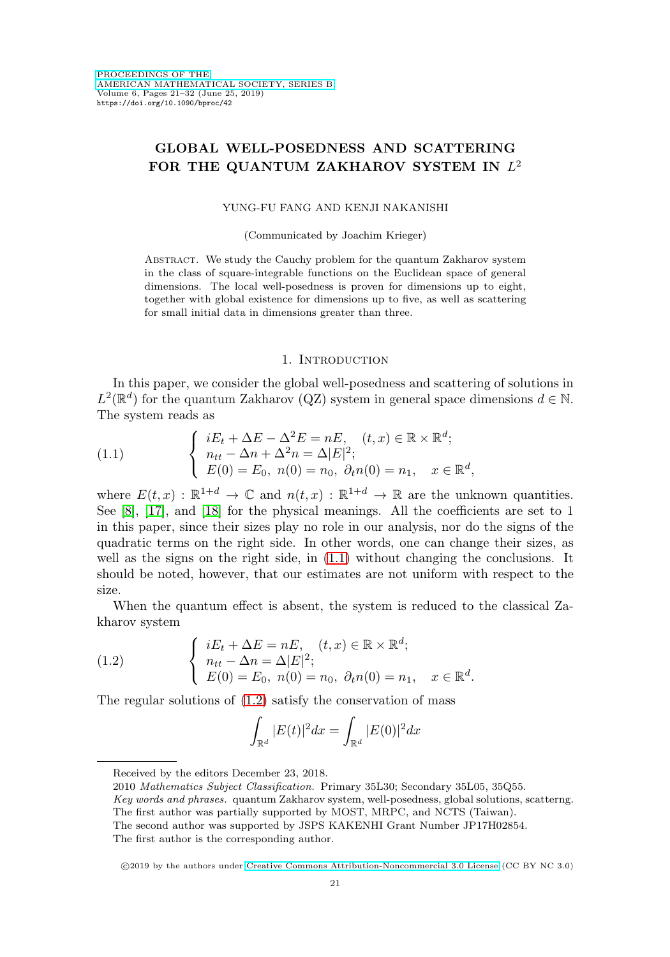# **GLOBAL WELL-POSEDNESS AND SCATTERING** FOR THE QUANTUM ZAKHAROV SYSTEM IN  $L^2$

### YUNG-FU FANG AND KENJI NAKANISHI

(Communicated by Joachim Krieger)

Abstract. We study the Cauchy problem for the quantum Zakharov system in the class of square-integrable functions on the Euclidean space of general dimensions. The local well-posedness is proven for dimensions up to eight, together with global existence for dimensions up to five, as well as scattering for small initial data in dimensions greater than three.

## 1. INTRODUCTION

In this paper, we consider the global well-posedness and scattering of solutions in  $L^2(\mathbb{R}^d)$  for the quantum Zakharov (QZ) system in general space dimensions  $d \in \mathbb{N}$ . The system reads as

<span id="page-0-0"></span>(1.1) 
$$
\begin{cases} iE_t + \Delta E - \Delta^2 E = nE, & (t, x) \in \mathbb{R} \times \mathbb{R}^d; \\ n_{tt} - \Delta n + \Delta^2 n = \Delta |E|^2; \\ E(0) = E_0, & n(0) = n_0, \ \partial_t n(0) = n_1, \quad x \in \mathbb{R}^d, \end{cases}
$$

where  $E(t, x) : \mathbb{R}^{1+d} \to \mathbb{C}$  and  $n(t, x) : \mathbb{R}^{1+d} \to \mathbb{R}$  are the unknown quantities. See [\[8\]](#page-10-0), [\[17\]](#page-11-0), and [\[18\]](#page-11-1) for the physical meanings. All the coefficients are set to 1 in this paper, since their sizes play no role in our analysis, nor do the signs of the quadratic terms on the right side. In other words, one can change their sizes, as well as the signs on the right side, in [\(1.1\)](#page-0-0) without changing the conclusions. It should be noted, however, that our estimates are not uniform with respect to the size.

When the quantum effect is absent, the system is reduced to the classical Zakharov system

<span id="page-0-1"></span>(1.2) 
$$
\begin{cases} iE_t + \Delta E = nE, (t, x) \in \mathbb{R} \times \mathbb{R}^d; \\ n_{tt} - \Delta n = \Delta |E|^2; \\ E(0) = E_0, n(0) = n_0, \ \partial_t n(0) = n_1, x \in \mathbb{R}^d. \end{cases}
$$

The regular solutions of [\(1.2\)](#page-0-1) satisfy the conservation of mass

$$
\int_{\mathbb{R}^d} |E(t)|^2 dx = \int_{\mathbb{R}^d} |E(0)|^2 dx
$$

Received by the editors December 23, 2018.

2010 Mathematics Subject Classification. Primary 35L30; Secondary 35L05, 35Q55.

The second author was supported by JSPS KAKENHI Grant Number JP17H02854.

The first author is the corresponding author.

-c 2019 by the authors under [Creative Commons Attribution-Noncommercial 3.0 License](https://creativecommons.org/licenses/by-nc/3.0/) (CC BY NC 3.0)

Key words and phrases. quantum Zakharov system, well-posedness, global solutions, scatterng. The first author was partially supported by MOST, MRPC, and NCTS (Taiwan).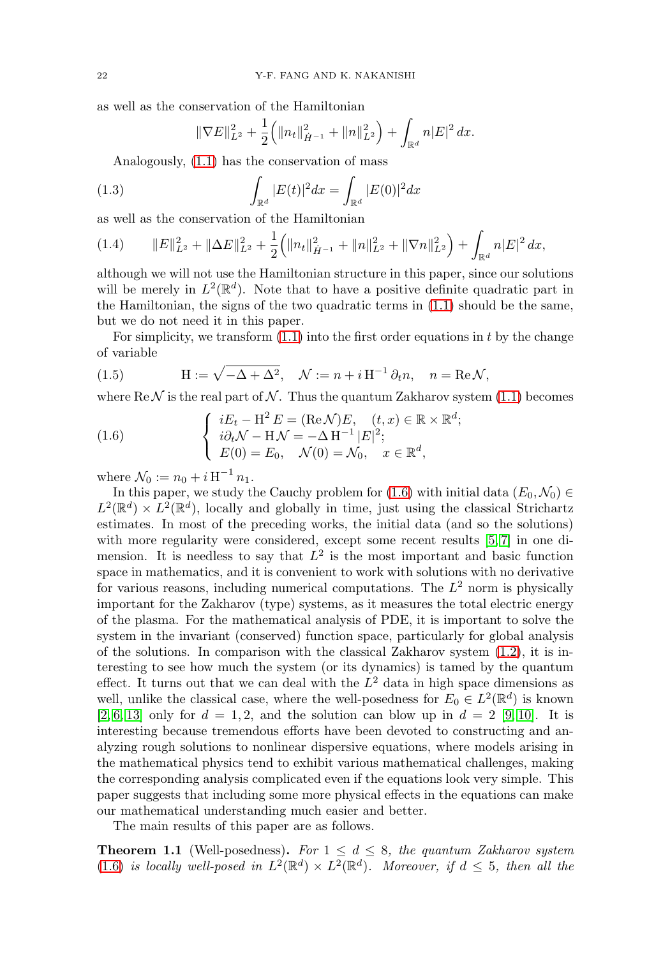as well as the conservation of the Hamiltonian

$$
\|\nabla E\|_{L^2}^2 + \frac{1}{2} \Big( \|n_t\|_{\dot{H}^{-1}}^2 + \|n\|_{L^2}^2 \Big) + \int_{\mathbb{R}^d} n|E|^2 \, dx.
$$

Analogously, [\(1.1\)](#page-0-0) has the conservation of mass

(1.3) 
$$
\int_{\mathbb{R}^d} |E(t)|^2 dx = \int_{\mathbb{R}^d} |E(0)|^2 dx
$$

as well as the conservation of the Hamiltonian

$$
(1.4) \qquad ||E||_{L^{2}}^{2} + ||\Delta E||_{L^{2}}^{2} + \frac{1}{2} (||n_{t}||_{\dot{H}^{-1}}^{2} + ||n||_{L^{2}}^{2} + ||\nabla n||_{L^{2}}^{2}) + \int_{\mathbb{R}^{d}} n|E|^{2} dx,
$$

although we will not use the Hamiltonian structure in this paper, since our solutions will be merely in  $L^2(\mathbb{R}^d)$ . Note that to have a positive definite quadratic part in the Hamiltonian, the signs of the two quadratic terms in [\(1.1\)](#page-0-0) should be the same, but we do not need it in this paper.

For simplicity, we transform  $(1.1)$  into the first order equations in t by the change of variable

(1.5) 
$$
H := \sqrt{-\Delta + \Delta^2}, \quad \mathcal{N} := n + i H^{-1} \partial_t n, \quad n = \text{Re}\,\mathcal{N},
$$

where  $\text{Re } \mathcal{N}$  is the real part of  $\mathcal{N}$ . Thus the quantum Zakharov system [\(1.1\)](#page-0-0) becomes

<span id="page-1-0"></span>(1.6) 
$$
\begin{cases} iE_t - \mathbf{H}^2 E = (\text{Re}\,\mathcal{N})E, & (t, x) \in \mathbb{R} \times \mathbb{R}^d; \\ i\partial_t \mathcal{N} - \mathbf{H}\mathcal{N} = -\Delta \mathbf{H}^{-1} |E|^2; \\ E(0) = E_0, & \mathcal{N}(0) = \mathcal{N}_0, \quad x \in \mathbb{R}^d, \end{cases}
$$

where  $\mathcal{N}_0 := n_0 + i H^{-1} n_1$ .

In this paper, we study the Cauchy problem for [\(1.6\)](#page-1-0) with initial data  $(E_0, \mathcal{N}_0) \in$  $L^2(\mathbb{R}^d) \times L^2(\mathbb{R}^d)$ , locally and globally in time, just using the classical Strichartz estimates. In most of the preceding works, the initial data (and so the solutions) with more regularity were considered, except some recent results [\[5,](#page-10-1)7] in one dimension. It is needless to say that  $L^2$  is the most important and basic function space in mathematics, and it is convenient to work with solutions with no derivative for various reasons, including numerical computations. The  $L^2$  norm is physically important for the Zakharov (type) systems, as it measures the total electric energy of the plasma. For the mathematical analysis of PDE, it is important to solve the system in the invariant (conserved) function space, particularly for global analysis of the solutions. In comparison with the classical Zakharov system  $(1.2)$ , it is interesting to see how much the system (or its dynamics) is tamed by the quantum effect. It turns out that we can deal with the  $L^2$  data in high space dimensions as well, unlike the classical case, where the well-posedness for  $E_0 \in L^2(\mathbb{R}^d)$  is known  $[2, 6, 13]$  $[2, 6, 13]$  $[2, 6, 13]$  only for  $d = 1, 2$ , and the solution can blow up in  $d = 2$  [\[9,](#page-11-3) [10\]](#page-11-4). It is interesting because tremendous efforts have been devoted to constructing and analyzing rough solutions to nonlinear dispersive equations, where models arising in the mathematical physics tend to exhibit various mathematical challenges, making the corresponding analysis complicated even if the equations look very simple. This paper suggests that including some more physical effects in the equations can make our mathematical understanding much easier and better.

The main results of this paper are as follows.

<span id="page-1-1"></span>**Theorem 1.1** (Well-posedness). For  $1 \leq d \leq 8$ , the quantum Zakharov system [\(1.6\)](#page-1-0) is locally well-posed in  $L^2(\mathbb{R}^d) \times L^2(\mathbb{R}^d)$ . Moreover, if  $d \leq 5$ , then all the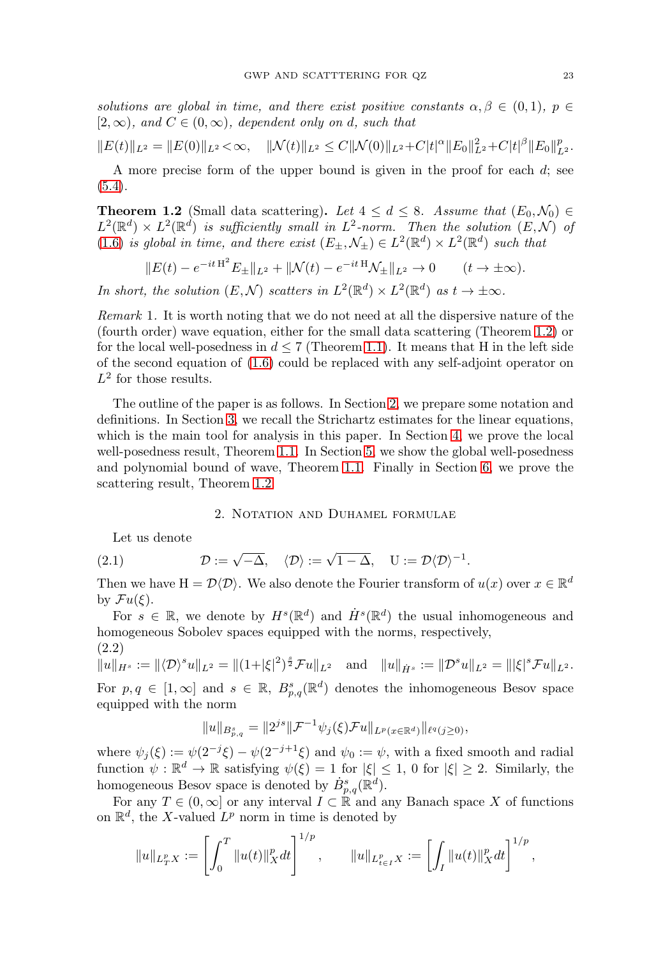solutions are global in time, and there exist positive constants  $\alpha, \beta \in (0,1)$ ,  $p \in$  $[2,\infty)$ , and  $C \in (0,\infty)$ , dependent only on d, such that

$$
||E(t)||_{L^2} = ||E(0)||_{L^2} < \infty, \quad ||\mathcal{N}(t)||_{L^2} \leq C||\mathcal{N}(0)||_{L^2} + C|t|^{\alpha}||E_0||_{L^2}^2 + C|t|^{\beta}||E_0||_{L^2}^p.
$$

A more precise form of the upper bound is given in the proof for each  $d$ ; see [\(5.4\)](#page-9-0).

<span id="page-2-0"></span>**Theorem 1.2** (Small data scattering). Let  $4 \leq d \leq 8$ . Assume that  $(E_0, \mathcal{N}_0) \in$  $L^2(\mathbb{R}^d) \times L^2(\mathbb{R}^d)$  is sufficiently small in  $L^2$ -norm. Then the solution  $(E, \mathcal{N})$  of [\(1.6\)](#page-1-0) is global in time, and there exist  $(E_{\pm}, \mathcal{N}_{\pm}) \in L^2(\mathbb{R}^d) \times L^2(\mathbb{R}^d)$  such that

$$
||E(t) - e^{-it H^2} E_{\pm}||_{L^2} + ||\mathcal{N}(t) - e^{-it H}\mathcal{N}_{\pm}||_{L^2} \to 0 \qquad (t \to \pm \infty).
$$

In short, the solution  $(E, \mathcal{N})$  scatters in  $L^2(\mathbb{R}^d) \times L^2(\mathbb{R}^d)$  as  $t \to \pm \infty$ .

Remark 1. It is worth noting that we do not need at all the dispersive nature of the (fourth order) wave equation, either for the small data scattering (Theorem [1.2\)](#page-2-0) or for the local well-posedness in  $d \leq 7$  (Theorem [1.1\)](#page-1-1). It means that H in the left side of the second equation of [\(1.6\)](#page-1-0) could be replaced with any self-adjoint operator on  $L^2$  for those results.

The outline of the paper is as follows. In Section [2,](#page-2-1) we prepare some notation and definitions. In Section [3,](#page-3-0) we recall the Strichartz estimates for the linear equations, which is the main tool for analysis in this paper. In Section [4,](#page-6-0) we prove the local well-posedness result, Theorem [1.1.](#page-1-1) In Section [5,](#page-8-0) we show the global well-posedness and polynomial bound of wave, Theorem [1.1.](#page-1-1) Finally in Section [6,](#page-9-1) we prove the scattering result, Theorem [1.2.](#page-2-0)

## 2. NOTATION AND DUHAMEL FORMULAE

<span id="page-2-1"></span>Let us denote

(2.1) 
$$
\mathcal{D} := \sqrt{-\Delta}, \quad \langle \mathcal{D} \rangle := \sqrt{1 - \Delta}, \quad U := \mathcal{D} \langle \mathcal{D} \rangle^{-1}.
$$

Then we have  $H = \mathcal{D}\langle \mathcal{D}\rangle$ . We also denote the Fourier transform of  $u(x)$  over  $x \in \mathbb{R}^d$ by  $\mathcal{F}u(\xi)$ .

For  $s \in \mathbb{R}$ , we denote by  $H^s(\mathbb{R}^d)$  and  $\dot{H}^s(\mathbb{R}^d)$  the usual inhomogeneous and homogeneous Sobolev spaces equipped with the norms, respectively,

(2.2)  $||u||_{H^s} := ||\langle \mathcal{D} \rangle^s u||_{L^2} = ||(1+|\xi|^2)^{\frac{s}{2}} \mathcal{F} u||_{L^2} \quad \text{and} \quad ||u||_{\dot{H}^s} := ||\mathcal{D}^s u||_{L^2} = |||\xi|^s \mathcal{F} u||_{L^2}.$ 

For  $p, q \in [1, \infty]$  and  $s \in \mathbb{R}$ ,  $B_{p,q}^s(\mathbb{R}^d)$  denotes the inhomogeneous Besov space equipped with the norm

$$
||u||_{B_{p,q}^s} = ||2^{js}||\mathcal{F}^{-1}\psi_j(\xi)\mathcal{F}u||_{L^p(x \in \mathbb{R}^d)}||_{\ell^q(j\geq 0)},
$$

where  $\psi_i(\xi) := \psi(2^{-j}\xi) - \psi(2^{-j+1}\xi)$  and  $\psi_0 := \psi$ , with a fixed smooth and radial function  $\psi : \mathbb{R}^d \to \mathbb{R}$  satisfying  $\psi(\xi) = 1$  for  $|\xi| \leq 1$ , 0 for  $|\xi| \geq 2$ . Similarly, the homogeneous Besov space is denoted by  $\dot{B}^s_{p,q}(\mathbb{R}^d)$ .

For any  $T \in (0, \infty]$  or any interval  $I \subset \mathbb{R}$  and any Banach space X of functions on  $\mathbb{R}^d$ , the X-valued  $L^p$  norm in time is denoted by

$$
||u||_{L^p_T X} := \left[ \int_0^T ||u(t)||_X^p dt \right]^{1/p}, \qquad ||u||_{L^p_{t \in I} X} := \left[ \int_I ||u(t)||_X^p dt \right]^{1/p},
$$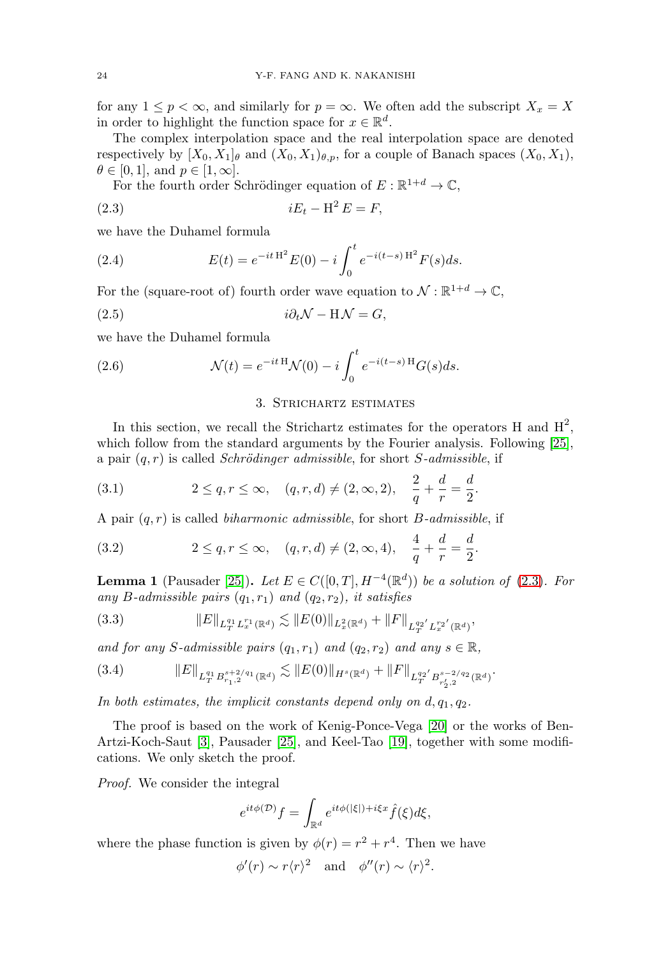for any  $1 \leq p < \infty$ , and similarly for  $p = \infty$ . We often add the subscript  $X_x = X$ in order to highlight the function space for  $x \in \mathbb{R}^d$ .

The complex interpolation space and the real interpolation space are denoted respectively by  $[X_0, X_1]_\theta$  and  $(X_0, X_1)_{\theta, p}$ , for a couple of Banach spaces  $(X_0, X_1)$ ,  $\theta \in [0, 1]$ , and  $p \in [1, \infty]$ .

For the fourth order Schrödinger equation of  $E: \mathbb{R}^{1+d} \rightarrow \mathbb{C},$ 

<span id="page-3-1"></span>(2.3) iE<sup>t</sup> − H<sup>2</sup> E = F,

we have the Duhamel formula

<span id="page-3-5"></span>(2.4) 
$$
E(t) = e^{-it \mathcal{H}^2} E(0) - i \int_0^t e^{-i(t-s) \mathcal{H}^2} F(s) ds.
$$

For the (square-root of) fourth order wave equation to  $\mathcal{N}: \mathbb{R}^{1+d} \to \mathbb{C}$ ,

<span id="page-3-4"></span>(2.5) i∂tN − H N = G,

we have the Duhamel formula

<span id="page-3-6"></span>(2.6) 
$$
\mathcal{N}(t) = e^{-it \mathcal{H}} \mathcal{N}(0) - i \int_0^t e^{-i(t-s) \mathcal{H}} G(s) ds.
$$

### 3. Strichartz estimates

<span id="page-3-0"></span>In this section, we recall the Strichartz estimates for the operators H and  $H^2$ , which follow from the standard arguments by the Fourier analysis. Following [\[25\]](#page-11-5), a pair  $(q, r)$  is called *Schrödinger admissible*, for short *S*-*admissible*, if

(3.1) 
$$
2 \le q, r \le \infty, \quad (q, r, d) \ne (2, \infty, 2), \quad \frac{2}{q} + \frac{d}{r} = \frac{d}{2}.
$$

A pair  $(q, r)$  is called *biharmonic admissible*, for short *B*-*admissible*, if

(3.2) 
$$
2 \le q, r \le \infty, \quad (q, r, d) \ne (2, \infty, 4), \quad \frac{4}{q} + \frac{d}{r} = \frac{d}{2}.
$$

<span id="page-3-7"></span>**Lemma 1** (Pausader [\[25\]](#page-11-5)). Let  $E \in C([0, T], H^{-4}(\mathbb{R}^d))$  be a solution of [\(2.3\)](#page-3-1). For any B-admissible pairs  $(q_1, r_1)$  and  $(q_2, r_2)$ , it satisfies

<span id="page-3-3"></span>
$$
(3.3) \t\t\t ||E||_{L_T^{q_1} L_x^{r_1}(\mathbb{R}^d)} \lesssim ||E(0)||_{L_x^2(\mathbb{R}^d)} + ||F||_{L_T^{q_2'} L_x^{r_2'}(\mathbb{R}^d)},
$$

and for any S-admissible pairs  $(q_1, r_1)$  and  $(q_2, r_2)$  and any  $s \in \mathbb{R}$ ,

<span id="page-3-2"></span>
$$
(3.4) \t\t\t\t||E||_{L_T^{q_1} B_{r_1,2}^{s+2/q_1}(\mathbb{R}^d)} \lesssim ||E(0)||_{H^s(\mathbb{R}^d)} + ||F||_{L_T^{q_2} B_{r'_2,2}^{s-2/q_2}(\mathbb{R}^d)}.
$$

In both estimates, the implicit constants depend only on  $d, q_1, q_2$ .

The proof is based on the work of Kenig-Ponce-Vega [\[20\]](#page-11-6) or the works of Ben-Artzi-Koch-Saut [\[3\]](#page-10-5), Pausader [\[25\]](#page-11-5), and Keel-Tao [\[19\]](#page-11-7), together with some modifications. We only sketch the proof.

Proof. We consider the integral

$$
e^{it\phi(\mathcal{D})}f = \int_{\mathbb{R}^d} e^{it\phi(|\xi|) + i\xi x} \hat{f}(\xi) d\xi,
$$

where the phase function is given by  $\phi(r) = r^2 + r^4$ . Then we have

$$
\phi'(r) \sim r \langle r \rangle^2
$$
 and  $\phi''(r) \sim \langle r \rangle^2$ .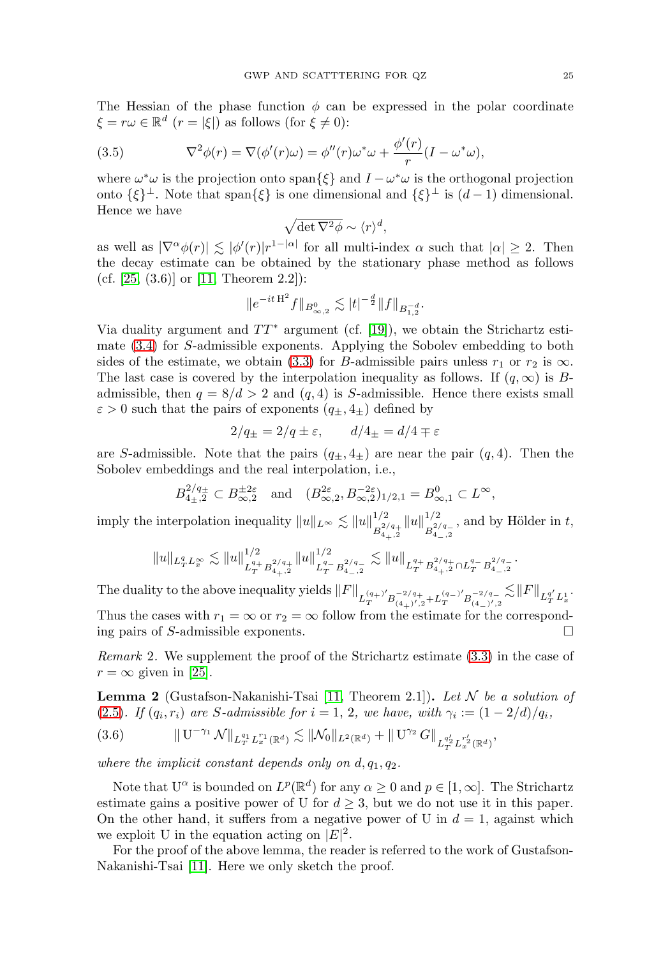The Hessian of the phase function  $\phi$  can be expressed in the polar coordinate  $\xi = r\omega \in \mathbb{R}^d$   $(r = |\xi|)$  as follows (for  $\xi \neq 0$ ):

 $\lambda$ 

<span id="page-4-0"></span>(3.5) 
$$
\nabla^2 \phi(r) = \nabla(\phi'(r)\omega) = \phi''(r)\omega^* \omega + \frac{\phi'(r)}{r}(I - \omega^* \omega),
$$

where  $\omega^* \omega$  is the projection onto span $\{\xi\}$  and  $I - \omega^* \omega$  is the orthogonal projection onto  $\{\xi\}^{\perp}$ . Note that span $\{\xi\}$  is one dimensional and  $\{\xi\}^{\perp}$  is  $(d-1)$  dimensional. Hence we have

$$
\sqrt{\det \nabla^2 \phi} \sim \langle r \rangle^d,
$$

as well as  $|\nabla^{\alpha} \phi(r)| \lesssim |\phi'(r)| r^{1-|\alpha|}$  for all multi-index  $\alpha$  such that  $|\alpha| \geq 2$ . Then the decay estimate can be obtained by the stationary phase method as follows (cf.  $[25, (3.6)]$  $[25, (3.6)]$  or  $[11, Theorem 2.2]$  $[11, Theorem 2.2]$ ):

$$
\|e^{-it\,H^2}f\|_{B^{0}_{\infty,2}}\lesssim |t|^{-\frac{d}{2}}\|f\|_{B^{-d}_{1,2}}.
$$

Via duality argument and  $TT^*$  argument (cf. [\[19\]](#page-11-7)), we obtain the Strichartz estimate [\(3.4\)](#page-3-2) for S-admissible exponents. Applying the Sobolev embedding to both sides of the estimate, we obtain [\(3.3\)](#page-3-3) for B-admissible pairs unless  $r_1$  or  $r_2$  is  $\infty$ . The last case is covered by the interpolation inequality as follows. If  $(q, \infty)$  is Badmissible, then  $q = 8/d > 2$  and  $(q, 4)$  is S-admissible. Hence there exists small  $\varepsilon > 0$  such that the pairs of exponents  $(q_{\pm}, 4_{\pm})$  defined by

$$
2/q_{\pm} = 2/q \pm \varepsilon, \qquad d/4_{\pm} = d/4 \mp \varepsilon
$$

are S-admissible. Note that the pairs  $(q_{\pm}, 4_{\pm})$  are near the pair  $(q, 4)$ . Then the Sobolev embeddings and the real interpolation, i.e.,

$$
B_{4\pm,2}^{2/q_{\pm}} \subset B_{\infty,2}^{\pm 2\varepsilon}
$$
 and  $(B_{\infty,2}^{2\varepsilon}, B_{\infty,2}^{-2\varepsilon})_{1/2,1} = B_{\infty,1}^0 \subset L^{\infty}$ ,

imply the interpolation inequality  $||u||_{L^{\infty}} \lesssim ||u||_{L^{2/3}}^{1/2}$  $B^{2/q+}_{4+,2}$  $||u||_{-2}^{1/2}$  $B^{2/q-}_{4-,2}$ , and by Hölder in  $t$ ,

$$
||u||_{L_T^q L_x^{\infty}} \lesssim ||u||_{L_T^{q_+} B_{4_+,2}^{2/q_+}}^{1/2} ||u||_{L_T^{q_-} B_{4_-,2}^{2/q_-}}^{1/2} \lesssim ||u||_{L_T^{q_+} B_{4_+,2}^{2/q_+} \cap L_T^{q_-} B_{4_-,2}^{2/q_-}}.
$$

The duality to the above inequality yields  $||F||_{L_T^{(q_+)'}B_{(4_+)',2}^{-2/q_+}+L_T^{(q_-)'B_{(4_-)',2}^{-2/q_-}}$  $\lesssim$   $\|F\|_{L^{q'}_TL^{1}_x}.$ Thus the cases with  $r_1 = \infty$  or  $r_2 = \infty$  follow from the estimate for the corresponding pairs of S-admissible exponents.

Remark 2. We supplement the proof of the Strichartz estimate [\(3.3\)](#page-3-3) in the case of  $r = \infty$  given in [\[25\]](#page-11-5).

<span id="page-4-2"></span>**Lemma 2** (Gustafson-Nakanishi-Tsai [\[11,](#page-11-8) Theorem 2.1]). Let  $\mathcal N$  be a solution of [\(2.5\)](#page-3-4). If  $(q_i, r_i)$  are S-admissible for  $i = 1, 2$ , we have, with  $\gamma_i := (1 - 2/d)/q_i$ ,

<span id="page-4-1"></span>
$$
(3.6) \t\t\t ||U^{-\gamma_1} \mathcal{N}||_{L_T^{q_1} L_x^{r_1}(\mathbb{R}^d)} \lesssim ||\mathcal{N}_0||_{L^2(\mathbb{R}^d)} + ||U^{\gamma_2} G||_{L_T^{q_2'} L_x^{r_2'}(\mathbb{R}^d)},
$$

where the implicit constant depends only on  $d, q_1, q_2$ .

Note that  $U^{\alpha}$  is bounded on  $L^{p}(\mathbb{R}^{d})$  for any  $\alpha \geq 0$  and  $p \in [1,\infty]$ . The Strichartz estimate gains a positive power of U for  $d \geq 3$ , but we do not use it in this paper. On the other hand, it suffers from a negative power of U in  $d = 1$ , against which we exploit U in the equation acting on  $|E|^2$ .

For the proof of the above lemma, the reader is referred to the work of Gustafson-Nakanishi-Tsai [\[11\]](#page-11-8). Here we only sketch the proof.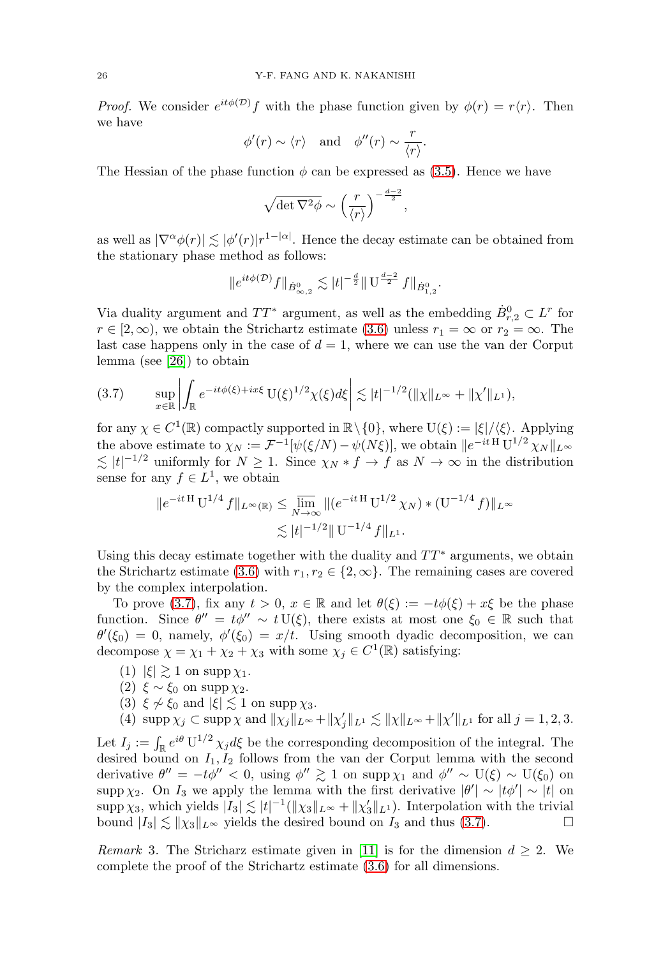*Proof.* We consider  $e^{it\phi(\mathcal{D})}f$  with the phase function given by  $\phi(r) = r\langle r \rangle$ . Then we have

$$
\phi'(r) \sim \langle r \rangle
$$
 and  $\phi''(r) \sim \frac{r}{\langle r \rangle}$ .

The Hessian of the phase function  $\phi$  can be expressed as [\(3.5\)](#page-4-0). Hence we have

$$
\sqrt{\det \nabla^2 \phi} \sim \left(\frac{r}{\langle r \rangle}\right)^{-\frac{d-2}{2}},
$$

as well as  $|\nabla^{\alpha} \phi(r)| \lesssim |\phi'(r)| r^{1-|\alpha|}$ . Hence the decay estimate can be obtained from the stationary phase method as follows:

$$
\|e^{it\phi(\mathcal{D})}f\|_{\dot{B}^0_{\infty,2}} \lesssim |t|^{-\frac{d}{2}} \|\mathbf{U}^{\frac{d-2}{2}}f\|_{\dot{B}^0_{1,2}}.
$$

Via duality argument and  $TT^*$  argument, as well as the embedding  $\dot{B}_{r,2}^0 \subset L^r$  for  $r \in [2,\infty)$ , we obtain the Strichartz estimate [\(3.6\)](#page-4-1) unless  $r_1 = \infty$  or  $r_2 = \infty$ . The last case happens only in the case of  $d = 1$ , where we can use the van der Corput lemma (see [\[26\]](#page-11-9)) to obtain

<span id="page-5-0"></span>
$$
(3.7) \qquad \sup_{x \in \mathbb{R}} \left| \int_{\mathbb{R}} e^{-it\phi(\xi) + ix\xi} \, \mathrm{U}(\xi)^{1/2} \chi(\xi) d\xi \right| \lesssim |t|^{-1/2} (\|\chi\|_{L^{\infty}} + \|\chi'\|_{L^{1}}),
$$

for any  $\chi \in C^1(\mathbb{R})$  compactly supported in  $\mathbb{R} \setminus \{0\}$ , where  $U(\xi) := |\xi|/\langle \xi \rangle$ . Applying the above estimate to  $\chi_N := \mathcal{F}^{-1}[\psi(\xi/N) - \psi(N\xi)],$  we obtain  $||e^{-it \,H} U^{1/2} \chi_N||_{L^\infty}$  $\lesssim |t|^{-1/2}$  uniformly for  $N \ge 1$ . Since  $\chi_N * f \to f$  as  $N \to \infty$  in the distribution sense for any  $f \in L^1$ , we obtain

$$
||e^{-it \, \mathcal{H}} \, \mathcal{U}^{1/4} \, f||_{L^{\infty}(\mathbb{R})} \le \lim_{N \to \infty} ||(e^{-it \, \mathcal{H}} \, \mathcal{U}^{1/2} \, \chi_N) * (\mathcal{U}^{-1/4} \, f)||_{L^{\infty}}
$$
  

$$
\lesssim |t|^{-1/2} ||\, \mathcal{U}^{-1/4} \, f||_{L^1}.
$$

Using this decay estimate together with the duality and  $TT^*$  arguments, we obtain the Strichartz estimate [\(3.6\)](#page-4-1) with  $r_1, r_2 \in \{2, \infty\}$ . The remaining cases are covered by the complex interpolation.

To prove [\(3.7\)](#page-5-0), fix any  $t > 0$ ,  $x \in \mathbb{R}$  and let  $\theta(\xi) := -t\phi(\xi) + x\xi$  be the phase function. Since  $\theta'' = t\phi'' \sim t U(\xi)$ , there exists at most one  $\xi_0 \in \mathbb{R}$  such that  $\theta'(\xi_0) = 0$ , namely,  $\phi'(\xi_0) = x/t$ . Using smooth dyadic decomposition, we can decompose  $\chi = \chi_1 + \chi_2 + \chi_3$  with some  $\chi_j \in C^1(\mathbb{R})$  satisfying:

- (1)  $|\xi| \gtrsim 1$  on supp  $\chi_1$ .
- (2)  $\xi \sim \xi_0$  on supp  $\chi_2$ .
- (3)  $\xi \nsim \xi_0$  and  $|\xi| \lesssim 1$  on supp  $\chi_3$ .

(4)  $\text{supp }\chi_j \subset \text{supp }\chi \text{ and } ||\chi_j||_{L^{\infty}} + ||\chi'_j||_{L^1} \lesssim ||\chi||_{L^{\infty}} + ||\chi'||_{L^1} \text{ for all } j = 1, 2, 3.$ 

Let  $I_j := \int_{\mathbb{R}} e^{i\theta} U^{1/2} \chi_j d\xi$  be the corresponding decomposition of the integral. The desired bound on  $I_1, I_2$  follows from the van der Corput lemma with the second derivative  $\theta'' = -t\phi'' < 0$ , using  $\phi'' \gtrsim 1$  on supp  $\chi_1$  and  $\phi'' \sim U(\xi) \sim U(\xi_0)$  on supp  $\chi_2$ . On  $I_3$  we apply the lemma with the first derivative  $|\theta'| \sim |t\phi'| \sim |t|$  on supp  $\chi_3$ , which yields  $|I_3| \lesssim |t|^{-1} (\|\chi_3\|_{L^\infty} + \|\chi_3'\|_{L^1})$ . Interpolation with the trivial bound  $|I_3| \lesssim ||\chi_3||_{L^\infty}$  yields the desired bound on  $I_3$  and thus [\(3.7\)](#page-5-0).

Remark 3. The Stricharz estimate given in [\[11\]](#page-11-8) is for the dimension  $d \geq 2$ . We complete the proof of the Strichartz estimate [\(3.6\)](#page-4-1) for all dimensions.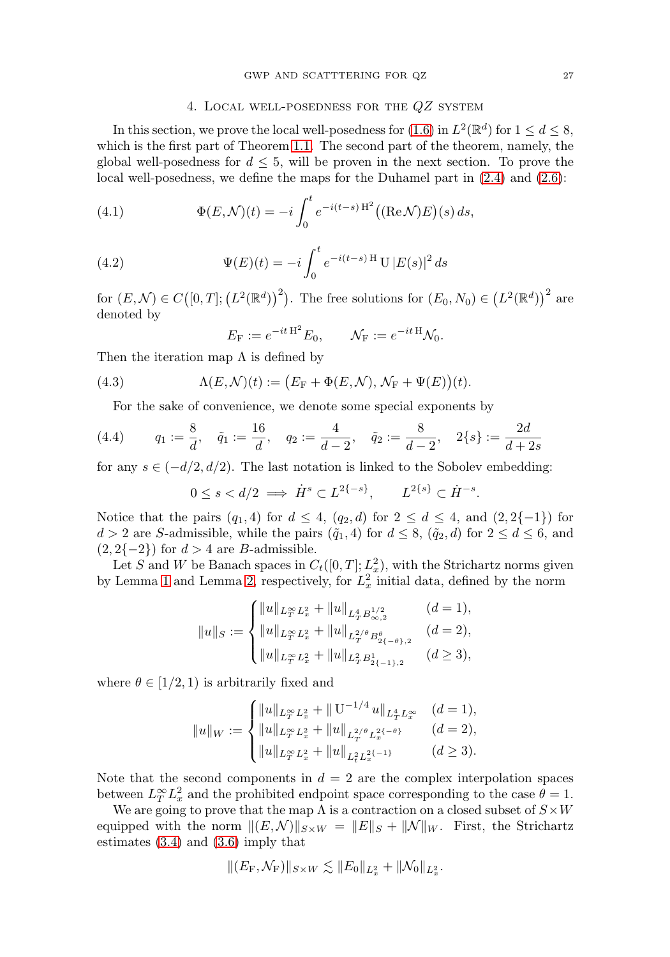## 4. Local well-posedness for the QZ system

<span id="page-6-0"></span>In this section, we prove the local well-posedness for [\(1.6\)](#page-1-0) in  $L^2(\mathbb{R}^d)$  for  $1 \leq d \leq 8$ , which is the first part of Theorem [1.1.](#page-1-1) The second part of the theorem, namely, the global well-posedness for  $d \leq 5$ , will be proven in the next section. To prove the local well-posedness, we define the maps for the Duhamel part in [\(2.4\)](#page-3-5) and [\(2.6\)](#page-3-6):

<span id="page-6-1"></span>(4.1) 
$$
\Phi(E, \mathcal{N})(t) = -i \int_0^t e^{-i(t-s) H^2} ((\text{Re}\,\mathcal{N})E)(s) ds,
$$

<span id="page-6-2"></span>(4.2) 
$$
\Psi(E)(t) = -i \int_0^t e^{-i(t-s) \mathrm{H}} \mathrm{U} |E(s)|^2 ds
$$

for  $(E, \mathcal{N}) \in C([0, T]; (L^2(\mathbb{R}^d)))^2$ . The free solutions for  $(E_0, N_0) \in (L^2(\mathbb{R}^d))^2$  are denoted by

$$
E_{\mathcal{F}} := e^{-it \mathcal{H}^2} E_0, \qquad \mathcal{N}_{\mathcal{F}} := e^{-it \mathcal{H}} \mathcal{N}_0.
$$

Then the iteration map  $\Lambda$  is defined by

(4.3) 
$$
\Lambda(E,\mathcal{N})(t) := (E_{\mathcal{F}} + \Phi(E,\mathcal{N}), \mathcal{N}_{\mathcal{F}} + \Psi(E))(t).
$$

For the sake of convenience, we denote some special exponents by

(4.4) 
$$
q_1 := \frac{8}{d}, \quad \tilde{q}_1 := \frac{16}{d}, \quad q_2 := \frac{4}{d-2}, \quad \tilde{q}_2 := \frac{8}{d-2}, \quad 2\{s\} := \frac{2d}{d+2s}
$$

for any  $s \in (-d/2, d/2)$ . The last notation is linked to the Sobolev embedding:

$$
0 \le s < d/2 \implies \dot{H}^s \subset L^{2\{-s\}}, \qquad L^{2\{s\}} \subset \dot{H}^{-s}.
$$

Notice that the pairs  $(q_1, 4)$  for  $d \leq 4$ ,  $(q_2, d)$  for  $2 \leq d \leq 4$ , and  $(2, 2\{-1\})$  for  $d > 2$  are S-admissible, while the pairs  $(\tilde{q}_1, 4)$  for  $d \leq 8$ ,  $(\tilde{q}_2, d)$  for  $2 \leq d \leq 6$ , and  $(2, 2\{-2\})$  for  $d > 4$  are B-admissible.

Let S and W be Banach spaces in  $C_t([0,T]; L_x^2)$ , with the Strichartz norms given by Lemma [1](#page-3-7) and Lemma [2,](#page-4-2) respectively, for  $L_x^2$  initial data, defined by the norm

$$
||u||_S := \begin{cases} ||u||_{L^\infty_T L^2_x} + ||u||_{L^4_T B^{1/2}_{\infty,2}} & (d=1), \\ ||u||_{L^\infty_T L^2_x} + ||u||_{L^{2/\theta}_T B^{\theta}_{2\{-\theta\},2}} & (d=2), \\ ||u||_{L^\infty_T L^2_x} + ||u||_{L^2_T B^1_{2\{-1\},2}} & (d \ge 3), \end{cases}
$$

where  $\theta \in [1/2, 1)$  is arbitrarily fixed and

$$
||u||_W := \begin{cases} ||u||_{L_T^\infty L_x^2} + ||\mathbf{U}^{-1/4} u||_{L_T^4 L_x^\infty} & (d = 1), \\ ||u||_{L_T^\infty L_x^2} + ||u||_{L_T^{2/\theta} L_x^{2\{-\theta\}}} & (d = 2), \\ ||u||_{L_T^\infty L_x^2} + ||u||_{L_t^2 L_x^{2\{-1\}}} & (d \ge 3). \end{cases}
$$

Note that the second components in  $d = 2$  are the complex interpolation spaces between  $L_T^{\infty} L_x^2$  and the prohibited endpoint space corresponding to the case  $\theta = 1$ .

We are going to prove that the map  $\Lambda$  is a contraction on a closed subset of  $S \times W$ equipped with the norm  $||(E, N)||_{S \times W} = ||E||_S + ||N||_W$ . First, the Strichartz estimates [\(3.4\)](#page-3-2) and [\(3.6\)](#page-4-1) imply that

$$
||(E_{\mathrm{F}},\mathcal{N}_{\mathrm{F}})||_{S\times W}\lesssim ||E_0||_{L_x^2}+||\mathcal{N}_0||_{L_x^2}.
$$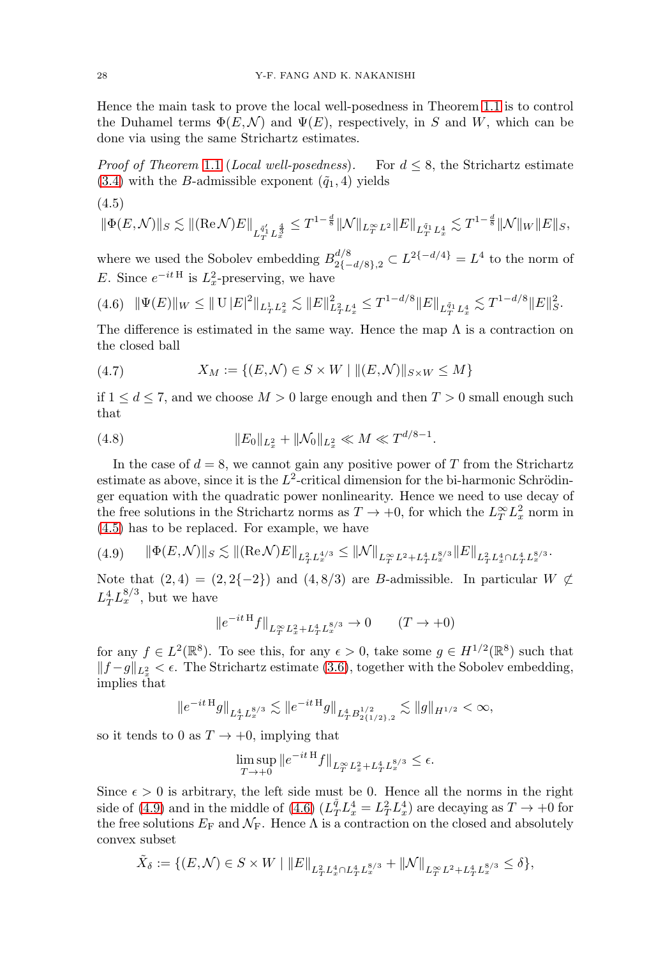Hence the main task to prove the local well-posedness in Theorem [1.1](#page-1-1) is to control the Duhamel terms  $\Phi(E, \mathcal{N})$  and  $\Psi(E)$ , respectively, in S and W, which can be done via using the same Strichartz estimates.

*Proof of Theorem [1.1](#page-1-1) (Local well-posedness).* For  $d \leq 8$ , the Strichartz estimate  $(3.4)$  with the B-admissible exponent  $(\tilde{q}_1, 4)$  yields

<span id="page-7-0"></span>
$$
(4.5)
$$

$$
\|\Phi(E,\mathcal{N})\|_S \lesssim \|(\mathrm{Re}\,\mathcal{N})E\|_{L^{\tilde{q}_1'}_T L^{\frac{4}{3}}_x} \leq T^{1-\frac{d}{8}} \|\mathcal{N}\|_{L^\infty_T L^2} \|E\|_{L^{\tilde{q}_1}_T L^4_x} \lesssim T^{1-\frac{d}{8}} \|\mathcal{N}\|_W \|E\|_S,
$$

where we used the Sobolev embedding  $B_{2\{-d/8\},2}^{d/8} \subset L^{2\{-d/4\}} = L^4$  to the norm of E. Since  $e^{-itH}$  is  $L_x^2$ -preserving, we have

<span id="page-7-2"></span>
$$
(4.6)\quad \|\Psi(E)\|_{W}\leq \|\mathbf{U}\|E\|^2\|_{L^1_TL^2_x}\lesssim \|E\|^2_{L^2_TL^4_x}\leq T^{1-d/8}\|E\|_{L^{\bar{q}_1}_TL^4_x}\lesssim T^{1-d/8}\|E\|^2_{S}.
$$

The difference is estimated in the same way. Hence the map  $\Lambda$  is a contraction on the closed ball

<span id="page-7-4"></span>(4.7) 
$$
X_M := \{(E, \mathcal{N}) \in S \times W \mid ||(E, \mathcal{N})||_{S \times W} \le M\}
$$

if  $1 \leq d \leq 7$ , and we choose  $M > 0$  large enough and then  $T > 0$  small enough such that

<span id="page-7-3"></span>(4.8) 
$$
||E_0||_{L_x^2} + ||\mathcal{N}_0||_{L_x^2} \ll M \ll T^{d/8 - 1}.
$$

In the case of  $d = 8$ , we cannot gain any positive power of T from the Strichartz estimate as above, since it is the  $L^2$ -critical dimension for the bi-harmonic Schrödinger equation with the quadratic power nonlinearity. Hence we need to use decay of the free solutions in the Strichartz norms as  $T \to +0$ , for which the  $L_T^{\infty} L_x^2$  norm in [\(4.5\)](#page-7-0) has to be replaced. For example, we have

<span id="page-7-1"></span>
$$
(4.9) \qquad \|\Phi(E,\mathcal{N})\|_{S} \lesssim \|(\mathrm{Re}\,\mathcal{N})E\|_{L^{2}_{T}L^{4/3}_{x}} \leq \|\mathcal{N}\|_{L^{\infty}_{T}L^{2}+L^{4}_{T}L^{8/3}_{x}}\|E\|_{L^{2}_{T}L^{4}_{x}\cap L^{4}_{T}L^{8/3}_{x}}.
$$

Note that  $(2, 4) = (2, 2\{-2\})$  and  $(4, 8/3)$  are B-admissible. In particular  $W \not\subset$  $L_T^4 L_x^{8/3}$ , but we have

$$
||e^{-itH}f||_{L_T^{\infty}L_x^2 + L_T^4 L_x^{8/3}} \to 0 \t(T \to +0)
$$

for any  $f \in L^2(\mathbb{R}^8)$ . To see this, for any  $\epsilon > 0$ , take some  $g \in H^{1/2}(\mathbb{R}^8)$  such that  $||f-g||_{L_x^2} < \epsilon$ . The Strichartz estimate [\(3.6\)](#page-4-1), together with the Sobolev embedding, implies that

$$
\|e^{-it\,H}g\|_{L^4_TL^{8/3}_x}\lesssim\|e^{-it\,H}g\|_{L^4_TB^{1/2}_{2\{1/2\},2}}\lesssim\|g\|_{H^{1/2}}<\infty,
$$

so it tends to 0 as  $T \rightarrow +0$ , implying that

$$
\limsup_{T \to +0} \|e^{-it\,H}f\|_{L_T^{\infty} L_x^2 + L_T^4 L_x^{8/3}} \le \epsilon.
$$

Since  $\epsilon > 0$  is arbitrary, the left side must be 0. Hence all the norms in the right side of [\(4.9\)](#page-7-1) and in the middle of [\(4.6\)](#page-7-2)  $(L_T^{\tilde{q}} L_x^4 = L_T^2 L_x^4)$  are decaying as  $T \to +0$  for the free solutions  $E_F$  and  $\mathcal{N}_F$ . Hence  $\Lambda$  is a contraction on the closed and absolutely convex subset

$$
\tilde{X}_\delta:=\{(E,\mathcal{N})\in S\times W\mid \|E\|_{L^2_TL^4_x\cap L^4_TL^{8/3}_x}+\|\mathcal{N}\|_{L^\infty_TL^2+L^4_TL^{8/3}_x}\leq \delta\},
$$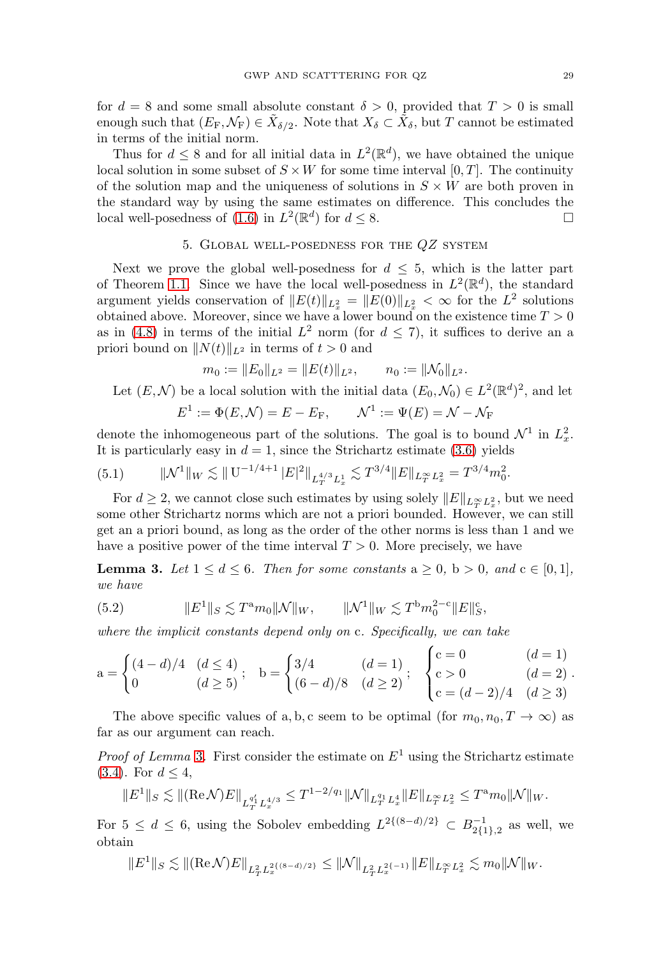for  $d = 8$  and some small absolute constant  $\delta > 0$ , provided that  $T > 0$  is small enough such that  $(E_F, \mathcal{N}_F) \in \tilde{X}_{\delta/2}$ . Note that  $X_{\delta} \subset \tilde{X}_{\delta}$ , but T cannot be estimated in terms of the initial norm.

Thus for  $d \leq 8$  and for all initial data in  $L^2(\mathbb{R}^d)$ , we have obtained the unique local solution in some subset of  $S \times W$  for some time interval [0, T]. The continuity of the solution map and the uniqueness of solutions in  $S \times W$  are both proven in the standard way by using the same estimates on difference. This concludes the local well-posedness of [\(1.6\)](#page-1-0) in  $L^2(\mathbb{R}^d)$  for  $d \leq 8$ .

## 5. Global well-posedness for the QZ system

<span id="page-8-0"></span>Next we prove the global well-posedness for  $d \leq 5$ , which is the latter part of Theorem [1.1.](#page-1-1) Since we have the local well-posedness in  $L^2(\mathbb{R}^d)$ , the standard argument yields conservation of  $||E(t)||_{L_x^2} = ||E(0)||_{L_x^2} < \infty$  for the  $L^2$  solutions obtained above. Moreover, since we have a lower bound on the existence time  $T > 0$ as in [\(4.8\)](#page-7-3) in terms of the initial  $L^2$  norm (for  $d \leq 7$ ), it suffices to derive an a priori bound on  $||N(t)||_{L^2}$  in terms of  $t > 0$  and

$$
m_0 := ||E_0||_{L^2} = ||E(t)||_{L^2}, \qquad n_0 := ||\mathcal{N}_0||_{L^2}.
$$

Let  $(E, \mathcal{N})$  be a local solution with the initial data  $(E_0, \mathcal{N}_0) \in L^2(\mathbb{R}^d)^2$ , and let

$$
E^1 := \Phi(E, \mathcal{N}) = E - E_F, \qquad \mathcal{N}^1 := \Psi(E) = \mathcal{N} - \mathcal{N}_F
$$

denote the inhomogeneous part of the solutions. The goal is to bound  $\mathcal{N}^1$  in  $L^2_x$ . It is particularly easy in  $d = 1$ , since the Strichartz estimate [\(3.6\)](#page-4-1) yields

<span id="page-8-2"></span>
$$
(5.1) \t\t ||\mathcal{N}^1||_W \lesssim ||U^{-1/4+1} |E|^2||_{L_T^{4/3} L_x^1} \lesssim T^{3/4} ||E||_{L_T^{\infty} L_x^2} = T^{3/4} m_0^2.
$$

For  $d \geq 2$ , we cannot close such estimates by using solely  $||E||_{L_T^{\infty} L_x^2}$ , but we need some other Strichartz norms which are not a priori bounded. However, we can still get an a priori bound, as long as the order of the other norms is less than 1 and we have a positive power of the time interval  $T > 0$ . More precisely, we have

<span id="page-8-1"></span>**Lemma 3.** Let  $1 \leq d \leq 6$ . Then for some constants  $a \geq 0$ ,  $b > 0$ , and  $c \in [0,1]$ , we have

(5.2) 
$$
||E^1||_S \lesssim T^{\mathbf{a}} m_0 ||\mathcal{N}||_W, \qquad ||\mathcal{N}^1||_W \lesssim T^{\mathbf{b}} m_0^{2-\mathbf{c}} ||E||_S^{\mathbf{c}},
$$

where the implicit constants depend only on c. Specifically, we can take

$$
a = \begin{cases} (4-d)/4 & (d \le 4) \\ 0 & (d \ge 5) \end{cases}; \quad b = \begin{cases} 3/4 & (d = 1) \\ (6-d)/8 & (d \ge 2) \end{cases}; \quad \begin{cases} c = 0 & (d = 1) \\ c > 0 & (d = 2) \\ c = (d-2)/4 & (d \ge 3) \end{cases}.
$$

The above specific values of a, b, c seem to be optimal (for  $m_0, n_0, T \to \infty$ ) as far as our argument can reach.

*Proof of Lemma* [3](#page-8-1). First consider the estimate on  $E<sup>1</sup>$  using the Strichartz estimate  $(3.4)$ . For  $d \leq 4$ ,

$$
||E^1||_S \lesssim ||(\text{Re}\,\mathcal{N})E||_{L_T^{q'_1}L_x^{4/3}} \leq T^{1-2/q_1}||\mathcal{N}||_{L_T^{q_1}L_x^4}||E||_{L_T^{\infty}L_x^2} \leq T^a m_0||\mathcal{N}||_W.
$$

For  $5 \leq d \leq 6$ , using the Sobolev embedding  $L^{2\{(8-d)/2\}} \subset B^{-1}_{2\{1\},2}$  as well, we obtain

$$
\|E^1\|_S\lesssim \|(\mathrm{Re}\, \mathcal{N})E\|_{L^2_TL^{2\{(\mathrm{8}-d)/2\}}_x}\leq \|\mathcal{N}\|_{L^2_TL^{2\{-1\}}_x}\|E\|_{L^\infty_TL^2_x}\lesssim m_0\|\mathcal{N}\|_W.
$$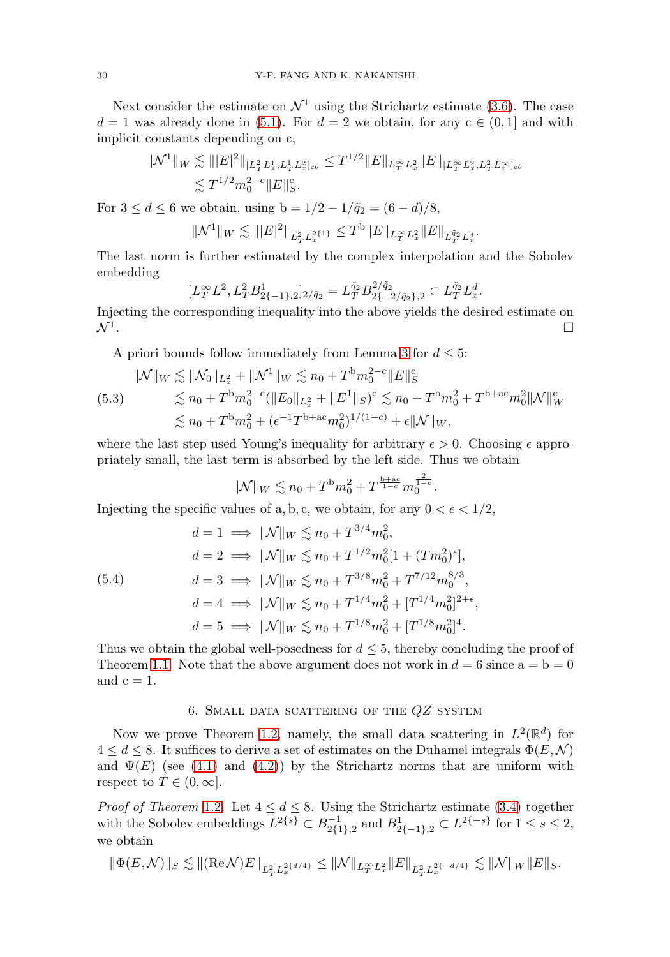Next consider the estimate on  $\mathcal{N}^1$  using the Strichartz estimate [\(3.6\)](#page-4-1). The case  $d = 1$  was already done in [\(5.1\)](#page-8-2). For  $d = 2$  we obtain, for any  $c \in (0, 1]$  and with implicit constants depending on c,

$$
\|\mathcal{N}^{1}\|_{W} \lesssim \||E|^{2}\|_{[L^{2}_{T}L^{1}_{x}, L^{1}_{T}L^{2}_{x}]\epsilon\theta} \leq T^{1/2} \|E\|_{L^{\infty}_{T}L^{2}_{x}} \|E\|_{[L^{\infty}_{T}L^{2}_{x}, L^{2}_{T}L^{\infty}_{x}]\epsilon\theta}
$$
  

$$
\lesssim T^{1/2} m_{0}^{2-c} \|E\|_{S}^{c}.
$$

For  $3 \le d \le 6$  we obtain, using  $b = 1/2 - 1/\tilde{q}_2 = (6 - d)/8$ ,

$$
\| \mathcal{N}^1 \|_W \lesssim \| |E|^2 \|_{L^2_T L^{2 \{1\}}_x} \leq T^{\rm b} \| E \|_{L^\infty_T L^2_x} \| E \|_{L^{ \tilde q_2}_T L^d_x}.
$$

The last norm is further estimated by the complex interpolation and the Sobolev embedding

$$
[L_T^{\infty} L^2, L_T^2 B_{2\{-1\},2}^1]_{2/\tilde{q}_2} = L_T^{\tilde{q}_2} B_{2\{-2/\tilde{q}_2\},2}^{2/\tilde{q}_2} \subset L_T^{\tilde{q}_2} L_x^d.
$$

Injecting the corresponding inequality into the above yields the desired estimate on  $\mathcal{N}^1$ .

A priori bounds follow immediately from Lemma [3](#page-8-1) for  $d \leq 5$ :

$$
\| \mathcal{N} \|_{W} \lesssim \| \mathcal{N}_{0} \|_{L_{x}^{2}} + \| \mathcal{N}^{1} \|_{W} \lesssim n_{0} + T^{b} m_{0}^{2-c} \| E \|_{S}^{c}
$$
  
(5.3)  

$$
\lesssim n_{0} + T^{b} m_{0}^{2-c} (\| E_{0} \|_{L_{x}^{2}} + \| E^{1} \|_{S})^{c} \lesssim n_{0} + T^{b} m_{0}^{2} + T^{b+a c} m_{0}^{2} \| \mathcal{N} \|_{W}^{c}
$$

$$
\lesssim n_{0} + T^{b} m_{0}^{2} + (\epsilon^{-1} T^{b+a c} m_{0}^{2})^{1/(1-c)} + \epsilon \| \mathcal{N} \|_{W},
$$

where the last step used Young's inequality for arbitrary  $\epsilon > 0$ . Choosing  $\epsilon$  appropriately small, the last term is absorbed by the left side. Thus we obtain

$$
\|\mathcal{N}\|_{W} \lesssim n_0 + T^{\mathrm{b}} m_0^2 + T^{\frac{\mathrm{b}+\mathrm{ac}}{1-\mathrm{c}}} m_0^{\frac{2}{1-\mathrm{c}}}.
$$

Injecting the specific values of a, b, c, we obtain, for any  $0 < \epsilon < 1/2$ ,

<span id="page-9-0"></span>(5.4)  
\n
$$
d = 1 \implies ||\mathcal{N}||_W \lesssim n_0 + T^{3/4} m_0^2,
$$
\n
$$
d = 2 \implies ||\mathcal{N}||_W \lesssim n_0 + T^{1/2} m_0^2 [1 + (T m_0^2)^{\epsilon}],
$$
\n
$$
d = 3 \implies ||\mathcal{N}||_W \lesssim n_0 + T^{3/8} m_0^2 + T^{7/12} m_0^{8/3},
$$
\n
$$
d = 4 \implies ||\mathcal{N}||_W \lesssim n_0 + T^{1/4} m_0^2 + [T^{1/4} m_0^2]^{2+\epsilon},
$$
\n
$$
d = 5 \implies ||\mathcal{N}||_W \lesssim n_0 + T^{1/8} m_0^2 + [T^{1/8} m_0^2]^{4}.
$$

Thus we obtain the global well-posedness for  $d \leq 5$ , thereby concluding the proof of Theorem [1.1.](#page-1-1) Note that the above argument does not work in  $d = 6$  since  $a = b = 0$ and  $c = 1$ .

# 6. SMALL DATA SCATTERING OF THE  $QZ$  system

<span id="page-9-1"></span>Now we prove Theorem [1.2,](#page-2-0) namely, the small data scattering in  $L^2(\mathbb{R}^d)$  for  $4 \leq d \leq 8$ . It suffices to derive a set of estimates on the Duhamel integrals  $\Phi(E, \mathcal{N})$ and  $\Psi(E)$  (see [\(4.1\)](#page-6-1) and [\(4.2\)](#page-6-2)) by the Strichartz norms that are uniform with respect to  $T \in (0, \infty]$ .

*Proof of Theorem* [1.2](#page-2-0). Let  $4 \leq d \leq 8$ . Using the Strichartz estimate [\(3.4\)](#page-3-2) together with the Sobolev embeddings  $L^{2\{s\}} \subset B^{-1}_{2\{1\},2}$  and  $B^1_{2\{-1\},2} \subset L^{2\{-s\}}$  for  $1 \le s \le 2$ , we obtain

$$
\|\Phi(E,\mathcal{N})\|_S \lesssim \|(\mathrm{Re}\,\mathcal{N})E\|_{L^2_TL^{2\{d/4\}}_x} \leq \|\mathcal{N}\|_{L^\infty_TL^2_x}\|E\|_{L^2_TL^{2\{-d/4\}}_x} \lesssim \|\mathcal{N}\|_W\|E\|_S.
$$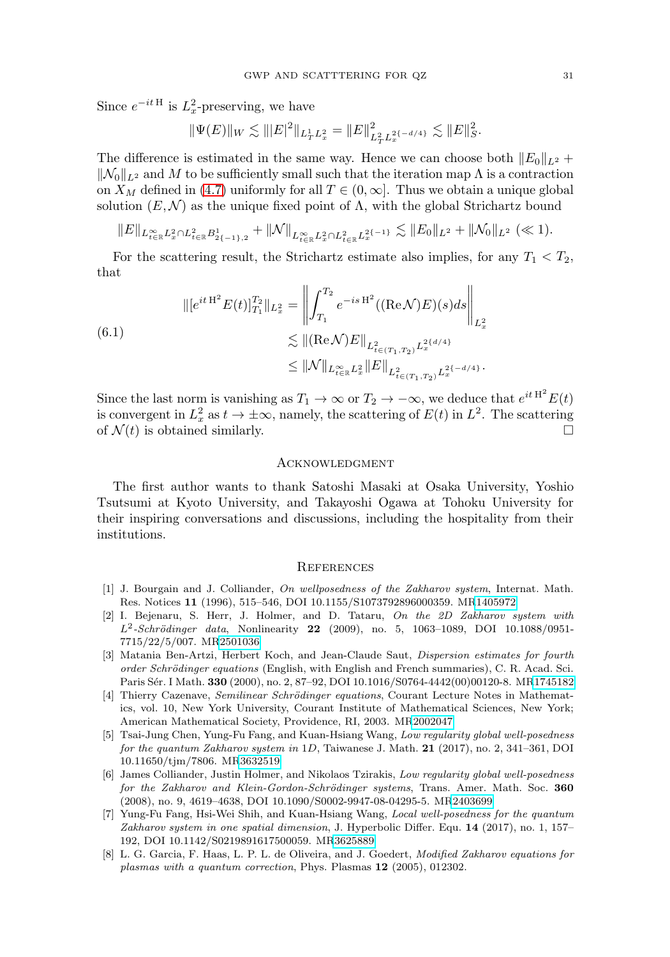Since  $e^{-itH}$  is  $L_x^2$ -preserving, we have

$$
\|\Psi(E)\|_{W} \lesssim \| |E|^2 \|_{L^1_T L^2_x} = \|E\|^2_{L^2_T L^{2\{-d/4\}}_x} \lesssim \|E\|^2_{S}.
$$

The difference is estimated in the same way. Hence we can choose both  $||E_0||_{L^2}$  +  $\|\mathcal{N}_0\|_{L^2}$  and M to be sufficiently small such that the iteration map  $\Lambda$  is a contraction on  $X_M$  defined in [\(4.7\)](#page-7-4) uniformly for all  $T \in (0, \infty]$ . Thus we obtain a unique global solution  $(E, \mathcal{N})$  as the unique fixed point of  $\Lambda$ , with the global Strichartz bound

$$
||E||_{L_{t\in\mathbb{R}}^{\infty}L_{x}^{2}\cap L_{t\in\mathbb{R}}^{2}B_{2\{-1\},2}^{1}}+||\mathcal{N}||_{L_{t\in\mathbb{R}}^{\infty}L_{x}^{2}\cap L_{t\in\mathbb{R}}^{2}L_{x}^{2\{-1\}}}\lesssim ||E_{0}||_{L^{2}}+||\mathcal{N}_{0}||_{L^{2}}\ll 1).
$$

For the scattering result, the Strichartz estimate also implies, for any  $T_1 < T_2$ , that

$$
\| [e^{it H^2} E(t)]_{T_1}^{T_2} \|_{L_x^2} = \left\| \int_{T_1}^{T_2} e^{-is H^2} ((\text{Re}\mathcal{N}) E)(s) ds \right\|_{L_x^2}
$$
  

$$
\lesssim \| (\text{Re}\mathcal{N}) E \|_{L_{t \in (T_1, T_2)}^2} L_x^{2(d/4)}
$$
  

$$
\leq \| \mathcal{N} \|_{L_{t \in \mathbb{R}}^{\infty} L_x^2} \| E \|_{L_{t \in (T_1, T_2)}^2} L_x^{2(-d/4)}.
$$

Since the last norm is vanishing as  $T_1 \to \infty$  or  $T_2 \to -\infty$ , we deduce that  $e^{it H^2} E(t)$ is convergent in  $L_x^2$  as  $t \to \pm \infty$ , namely, the scattering of  $E(t)$  in  $L^2$ . The scattering of  $\mathcal{N}(t)$  is obtained similarly.

#### Acknowledgment

The first author wants to thank Satoshi Masaki at Osaka University, Yoshio Tsutsumi at Kyoto University, and Takayoshi Ogawa at Tohoku University for their inspiring conversations and discussions, including the hospitality from their institutions.

### **REFERENCES**

- [1] J. Bourgain and J. Colliander, On wellposedness of the Zakharov system, Internat. Math. Res. Notices **11** (1996), 515–546, DOI 10.1155/S1073792896000359. M[R1405972](https://www.ams.org/mathscinet-getitem?mr=1405972)
- <span id="page-10-3"></span>[2] I. Bejenaru, S. Herr, J. Holmer, and D. Tataru, On the 2D Zakharov system with L<sup>2</sup>-Schrödinger data, Nonlinearity **22** (2009), no. 5, 1063-1089, DOI 10.1088/0951-7715/22/5/007. M[R2501036](https://www.ams.org/mathscinet-getitem?mr=2501036)
- <span id="page-10-5"></span>[3] Matania Ben-Artzi, Herbert Koch, and Jean-Claude Saut, Dispersion estimates for fourth order Schrödinger equations (English, with English and French summaries), C. R. Acad. Sci. Paris S´er. I Math. **330** (2000), no. 2, 87–92, DOI 10.1016/S0764-4442(00)00120-8. M[R1745182](https://www.ams.org/mathscinet-getitem?mr=1745182)
- [4] Thierry Cazenave, Semilinear Schrödinger equations, Courant Lecture Notes in Mathematics, vol. 10, New York University, Courant Institute of Mathematical Sciences, New York; American Mathematical Society, Providence, RI, 2003. M[R2002047](https://www.ams.org/mathscinet-getitem?mr=2002047)
- <span id="page-10-1"></span>[5] Tsai-Jung Chen, Yung-Fu Fang, and Kuan-Hsiang Wang, Low regularity global well-posedness for the quantum Zakharov system in 1D, Taiwanese J. Math. **21** (2017), no. 2, 341–361, DOI 10.11650/tjm/7806. M[R3632519](https://www.ams.org/mathscinet-getitem?mr=3632519)
- <span id="page-10-4"></span>[6] James Colliander, Justin Holmer, and Nikolaos Tzirakis, Low regularity global well-posedness for the Zakharov and Klein-Gordon-Schrödinger systems, Trans. Amer. Math. Soc. 360 (2008), no. 9, 4619–4638, DOI 10.1090/S0002-9947-08-04295-5. M[R2403699](https://www.ams.org/mathscinet-getitem?mr=2403699)
- <span id="page-10-2"></span>[7] Yung-Fu Fang, Hsi-Wei Shih, and Kuan-Hsiang Wang, Local well-posedness for the quantum Zakharov system in one spatial dimension, J. Hyperbolic Differ. Equ. **14** (2017), no. 1, 157– 192, DOI 10.1142/S0219891617500059. M[R3625889](https://www.ams.org/mathscinet-getitem?mr=3625889)
- <span id="page-10-0"></span>[8] L. G. Garcia, F. Haas, L. P. L. de Oliveira, and J. Goedert, Modified Zakharov equations for plasmas with a quantum correction, Phys. Plasmas **12** (2005), 012302.